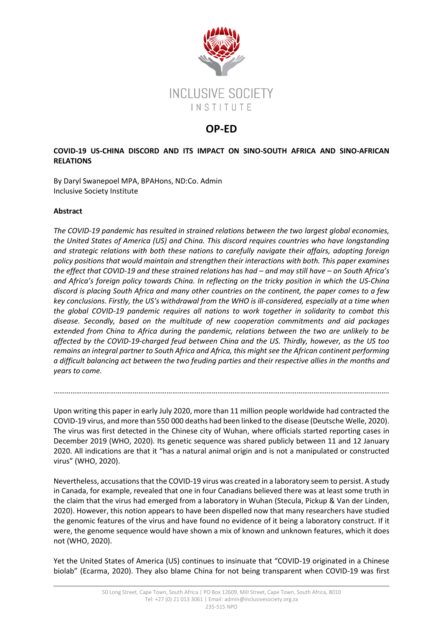

# **OP-ED**

## **COVID-19 US-CHINA DISCORD AND ITS IMPACT ON SINO-SOUTH AFRICA AND SINO-AFRICAN RELATIONS**

By Daryl Swanepoel MPA, BPAHons, ND:Co. Admin Inclusive Society Institute

## **Abstract**

*The COVID-19 pandemic has resulted in strained relations between the two largest global economies, the United States of America (US) and China. This discord requires countries who have longstanding and strategic relations with both these nations to carefully navigate their affairs, adopting foreign policy positions that would maintain and strengthen their interactions with both. This paper examines the effect that COVID-19 and these strained relations has had – and may still have – on South Africa's and Africa's foreign policy towards China. In reflecting on the tricky position in which the US-China discord is placing South Africa and many other countries on the continent, the paper comes to a few key conclusions. Firstly, the US's withdrawal from the WHO is ill-considered, especially at a time when the global COVID-19 pandemic requires all nations to work together in solidarity to combat this disease. Secondly, based on the multitude of new cooperation commitments and aid packages extended from China to Africa during the pandemic, relations between the two are unlikely to be affected by the COVID-19-charged feud between China and the US. Thirdly, however, as the US too remains an integral partner to South Africa and Africa, this might see the African continent performing a difficult balancing act between the two feuding parties and their respective allies in the months and years to come.*

Upon writing this paper in early July 2020, more than 11 million people worldwide had contracted the COVID-19 virus, and more than 550 000 deaths had been linked to the disease (Deutsche Welle, 2020). The virus was first detected in the Chinese city of Wuhan, where officials started reporting cases in December 2019 (WHO, 2020). Its genetic sequence was shared publicly between 11 and 12 January 2020. All indications are that it "has a natural animal origin and is not a manipulated or constructed virus" (WHO, 2020).

…………………………………………………………………………………………………………………………………………………………….

Nevertheless, accusations that the COVID-19 virus was created in a laboratory seem to persist. A study in Canada, for example, revealed that one in four Canadians believed there was at least some truth in the claim that the virus had emerged from a laboratory in Wuhan (Stecula, Pickup & Van der Linden, 2020). However, this notion appears to have been dispelled now that many researchers have studied the genomic features of the virus and have found no evidence of it being a laboratory construct. If it were, the genome sequence would have shown a mix of known and unknown features, which it does not (WHO, 2020).

Yet the United States of America (US) continues to insinuate that "COVID-19 originated in a Chinese biolab" (Ecarma, 2020). They also blame China for not being transparent when COVID-19 was first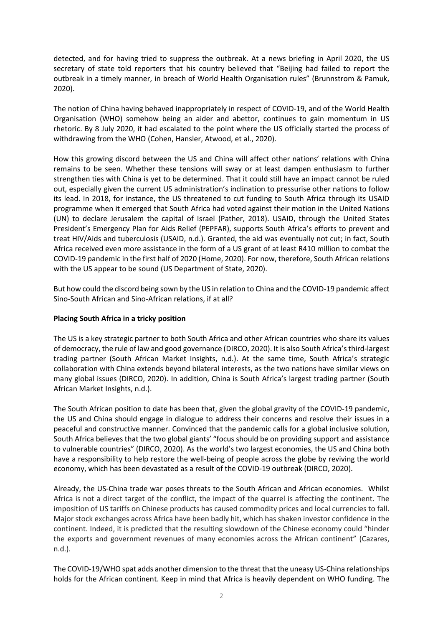detected, and for having tried to suppress the outbreak. At a news briefing in April 2020, the US secretary of state told reporters that his country believed that "Beijing had failed to report the outbreak in a timely manner, in breach of World Health Organisation rules" (Brunnstrom & Pamuk, 2020).

The notion of China having behaved inappropriately in respect of COVID-19, and of the World Health Organisation (WHO) somehow being an aider and abettor, continues to gain momentum in US rhetoric. By 8 July 2020, it had escalated to the point where the US officially started the process of withdrawing from the WHO (Cohen, Hansler, Atwood, et al., 2020).

How this growing discord between the US and China will affect other nations' relations with China remains to be seen. Whether these tensions will sway or at least dampen enthusiasm to further strengthen ties with China is yet to be determined. That it could still have an impact cannot be ruled out, especially given the current US administration's inclination to pressurise other nations to follow its lead. In 2018, for instance, the US threatened to cut funding to South Africa through its USAID programme when it emerged that South Africa had voted against their motion in the United Nations (UN) to declare Jerusalem the capital of Israel (Pather, 2018). USAID, through the United States President's Emergency Plan for Aids Relief (PEPFAR), supports South Africa's efforts to prevent and treat HIV/Aids and tuberculosis (USAID, n.d.). Granted, the aid was eventually not cut; in fact, South Africa received even more assistance in the form of a US grant of at least R410 million to combat the COVID-19 pandemic in the first half of 2020 (Home, 2020). For now, therefore, South African relations with the US appear to be sound (US Department of State, 2020).

But how could the discord being sown by the US in relation to China and the COVID-19 pandemic affect Sino-South African and Sino-African relations, if at all?

### **Placing South Africa in a tricky position**

The US is a key strategic partner to both South Africa and other African countries who share its values of democracy, the rule of law and good governance (DIRCO, 2020). It is also South Africa's third-largest trading partner (South African Market Insights, n.d.). At the same time, South Africa's strategic collaboration with China extends beyond bilateral interests, as the two nations have similar views on many global issues (DIRCO, 2020). In addition, China is South Africa's largest trading partner (South African Market Insights, n.d.).

The South African position to date has been that, given the global gravity of the COVID-19 pandemic, the US and China should engage in dialogue to address their concerns and resolve their issues in a peaceful and constructive manner. Convinced that the pandemic calls for a global inclusive solution, South Africa believes that the two global giants' "focus should be on providing support and assistance to vulnerable countries" (DIRCO, 2020). As the world's two largest economies, the US and China both have a responsibility to help restore the well-being of people across the globe by reviving the world economy, which has been devastated as a result of the COVID-19 outbreak (DIRCO, 2020).

Already, the US-China trade war poses threats to the South African and African economies. Whilst Africa is not a direct target of the conflict, the impact of the quarrel is affecting the continent. The imposition of US tariffs on Chinese products has caused commodity prices and local currencies to fall. Major stock exchanges across Africa have been badly hit, which has shaken investor confidence in the continent. Indeed, it is predicted that the resulting slowdown of the Chinese economy could "hinder the exports and government revenues of many economies across the African continent" (Cazares, n.d.).

The COVID-19/WHO spat adds another dimension to the threat that the uneasy US-China relationships holds for the African continent. Keep in mind that Africa is heavily dependent on WHO funding. The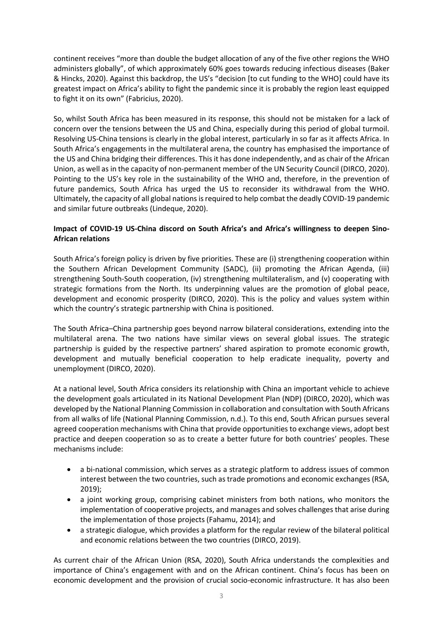continent receives "more than double the budget allocation of any of the five other regions the WHO administers globally", of which approximately 60% goes towards reducing infectious diseases (Baker & Hincks, 2020). Against this backdrop, the US's "decision [to cut funding to the WHO] could have its greatest impact on Africa's ability to fight the pandemic since it is probably the region least equipped to fight it on its own" (Fabricius, 2020).

So, whilst South Africa has been measured in its response, this should not be mistaken for a lack of concern over the tensions between the US and China, especially during this period of global turmoil. Resolving US-China tensions is clearly in the global interest, particularly in so far as it affects Africa. In South Africa's engagements in the multilateral arena, the country has emphasised the importance of the US and China bridging their differences. This it has done independently, and as chair of the African Union, as well as in the capacity of non-permanent member of the UN Security Council (DIRCO, 2020). Pointing to the US's key role in the sustainability of the WHO and, therefore, in the prevention of future pandemics, South Africa has urged the US to reconsider its withdrawal from the WHO. Ultimately, the capacity of all global nations isrequired to help combat the deadly COVID-19 pandemic and similar future outbreaks (Lindeque, 2020).

### **Impact of COVID-19 US-China discord on South Africa's and Africa's willingness to deepen Sino-African relations**

South Africa's foreign policy is driven by five priorities. These are (i) strengthening cooperation within the Southern African Development Community (SADC), (ii) promoting the African Agenda, (iii) strengthening South-South cooperation, (iv) strengthening multilateralism, and (v) cooperating with strategic formations from the North. Its underpinning values are the promotion of global peace, development and economic prosperity (DIRCO, 2020). This is the policy and values system within which the country's strategic partnership with China is positioned.

The South Africa–China partnership goes beyond narrow bilateral considerations, extending into the multilateral arena. The two nations have similar views on several global issues. The strategic partnership is guided by the respective partners' shared aspiration to promote economic growth, development and mutually beneficial cooperation to help eradicate inequality, poverty and unemployment (DIRCO, 2020).

At a national level, South Africa considers its relationship with China an important vehicle to achieve the development goals articulated in its National Development Plan (NDP) (DIRCO, 2020), which was developed by the National Planning Commission in collaboration and consultation with South Africans from all walks of life (National Planning Commission, n.d.). To this end, South African pursues several agreed cooperation mechanisms with China that provide opportunities to exchange views, adopt best practice and deepen cooperation so as to create a better future for both countries' peoples. These mechanisms include:

- a bi-national commission, which serves as a strategic platform to address issues of common interest between the two countries, such as trade promotions and economic exchanges (RSA, 2019);
- a joint working group, comprising cabinet ministers from both nations, who monitors the implementation of cooperative projects, and manages and solves challenges that arise during the implementation of those projects (Fahamu, 2014); and
- a strategic dialogue, which provides a platform for the regular review of the bilateral political and economic relations between the two countries (DIRCO, 2019).

As current chair of the African Union (RSA, 2020), South Africa understands the complexities and importance of China's engagement with and on the African continent. China's focus has been on economic development and the provision of crucial socio-economic infrastructure. It has also been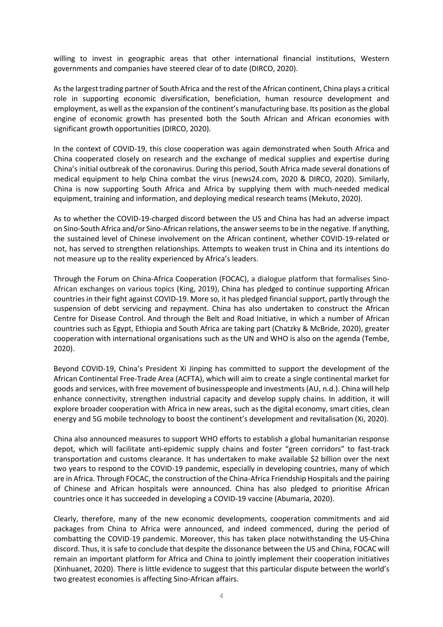willing to invest in geographic areas that other international financial institutions, Western governments and companies have steered clear of to date (DIRCO, 2020).

Asthe largest trading partner of South Africa and the rest of the African continent, China plays a critical role in supporting economic diversification, beneficiation, human resource development and employment, as well asthe expansion of the continent's manufacturing base. Its position as the global engine of economic growth has presented both the South African and African economies with significant growth opportunities (DIRCO, 2020).

In the context of COVID-19, this close cooperation was again demonstrated when South Africa and China cooperated closely on research and the exchange of medical supplies and expertise during China's initial outbreak of the coronavirus. During this period, South Africa made several donations of medical equipment to help China combat the virus (news24.com, 2020 & DIRCO, 2020). Similarly, China is now supporting South Africa and Africa by supplying them with much-needed medical equipment, training and information, and deploying medical research teams (Mekuto, 2020).

As to whether the COVID-19-charged discord between the US and China has had an adverse impact on Sino-South Africa and/or Sino-African relations, the answer seems to be in the negative. If anything, the sustained level of Chinese involvement on the African continent, whether COVID-19-related or not, has served to strengthen relationships. Attempts to weaken trust in China and its intentions do not measure up to the reality experienced by Africa's leaders.

Through the Forum on China-Africa Cooperation (FOCAC), a dialogue platform that formalises Sino-African exchanges on various topics (King, 2019), China has pledged to continue supporting African countries in their fight against COVID-19. More so, it has pledged financial support, partly through the suspension of debt servicing and repayment. China has also undertaken to construct the African Centre for Disease Control. And through the Belt and Road Initiative, in which a number of African countries such as Egypt, Ethiopia and South Africa are taking part (Chatzky & McBride, 2020), greater cooperation with international organisations such as the UN and WHO is also on the agenda (Tembe, 2020).

Beyond COVID-19, China's President Xi Jinping has committed to support the development of the African Continental Free-Trade Area (ACFTA), which will aim to create a single continental market for goods and services, with free movement of businesspeople and investments (AU, n.d.). China will help enhance connectivity, strengthen industrial capacity and develop supply chains. In addition, it will explore broader cooperation with Africa in new areas, such as the digital economy, smart cities, clean energy and 5G mobile technology to boost the continent's development and revitalisation (Xi, 2020).

China also announced measures to support WHO efforts to establish a global humanitarian response depot, which will facilitate anti-epidemic supply chains and foster "green corridors" to fast-track transportation and customs clearance. It has undertaken to make available \$2 billion over the next two years to respond to the COVID-19 pandemic, especially in developing countries, many of which are in Africa. Through FOCAC, the construction of the China-Africa Friendship Hospitals and the pairing of Chinese and African hospitals were announced. China has also pledged to prioritise African countries once it has succeeded in developing a COVID-19 vaccine (Abumaria, 2020).

Clearly, therefore, many of the new economic developments, cooperation commitments and aid packages from China to Africa were announced, and indeed commenced, during the period of combatting the COVID-19 pandemic. Moreover, this has taken place notwithstanding the US-China discord. Thus, it is safe to conclude that despite the dissonance between the US and China, FOCAC will remain an important platform for Africa and China to jointly implement their cooperation initiatives (Xinhuanet, 2020). There is little evidence to suggest that this particular dispute between the world's two greatest economies is affecting Sino-African affairs.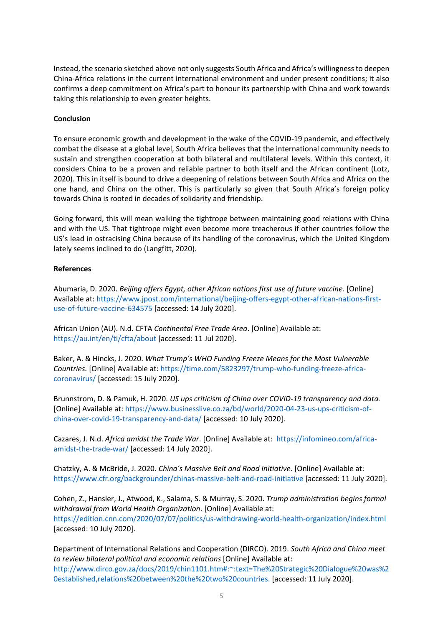Instead, the scenario sketched above not only suggests South Africa and Africa's willingness to deepen China-Africa relations in the current international environment and under present conditions; it also confirms a deep commitment on Africa's part to honour its partnership with China and work towards taking this relationship to even greater heights.

#### **Conclusion**

To ensure economic growth and development in the wake of the COVID-19 pandemic, and effectively combat the disease at a global level, South Africa believes that the international community needs to sustain and strengthen cooperation at both bilateral and multilateral levels. Within this context, it considers China to be a proven and reliable partner to both itself and the African continent (Lotz, 2020). This in itself is bound to drive a deepening of relations between South Africa and Africa on the one hand, and China on the other. This is particularly so given that South Africa's foreign policy towards China is rooted in decades of solidarity and friendship.

Going forward, this will mean walking the tightrope between maintaining good relations with China and with the US. That tightrope might even become more treacherous if other countries follow the US's lead in ostracising China because of its handling of the coronavirus, which the United Kingdom lately seems inclined to do (Langfitt, 2020).

#### **References**

Abumaria, D. 2020. *Beijing offers Egypt, other African nations first use of future vaccine.* [Online] Available at[: https://www.jpost.com/international/beijing-offers-egypt-other-african-nations-first](https://www.jpost.com/international/beijing-offers-egypt-other-african-nations-first-use-of-future-vaccine-634575)[use-of-future-vaccine-634575](https://www.jpost.com/international/beijing-offers-egypt-other-african-nations-first-use-of-future-vaccine-634575) [accessed: 14 July 2020].

African Union (AU). N.d. CFTA *Continental Free Trade Area*. [Online] Available at: <https://au.int/en/ti/cfta/about> [accessed: 11 Jul 2020].

Baker, A. & Hincks, J. 2020. *What Trump's WHO Funding Freeze Means for the Most Vulnerable Countries.* [Online] Available at[: https://time.com/5823297/trump-who-funding-freeze-africa](https://time.com/5823297/trump-who-funding-freeze-africa-coronavirus/)[coronavirus/](https://time.com/5823297/trump-who-funding-freeze-africa-coronavirus/) [accessed: 15 July 2020].

Brunnstrom, D. & Pamuk, H. 2020. *US ups criticism of China over COVID-19 transparency and data.* [Online] Available at: [https://www.businesslive.co.za/bd/world/2020-04-23-us-ups-criticism-of](https://www.businesslive.co.za/bd/world/2020-04-23-us-ups-criticism-of-china-over-covid-19-transparency-and-data/)[china-over-covid-19-transparency-and-data/](https://www.businesslive.co.za/bd/world/2020-04-23-us-ups-criticism-of-china-over-covid-19-transparency-and-data/) [accessed: 10 July 2020].

Cazares, J. N.d. *Africa amidst the Trade War*. [Online] Available at: [https://infomineo.com/africa](https://infomineo.com/africa-amidst-the-trade-war/)[amidst-the-trade-war/](https://infomineo.com/africa-amidst-the-trade-war/) [accessed: 14 July 2020].

Chatzky, A. & McBride, J. 2020. *China's Massive Belt and Road Initiative*. [Online] Available at: <https://www.cfr.org/backgrounder/chinas-massive-belt-and-road-initiative> [accessed: 11 July 2020].

Cohen, Z., Hansler, J., Atwood, K., Salama, S. & Murray, S. 2020. *Trump administration begins formal withdrawal from World Health Organization*. [Online] Available at: <https://edition.cnn.com/2020/07/07/politics/us-withdrawing-world-health-organization/index.html> [accessed: 10 July 2020].

Department of International Relations and Cooperation (DIRCO). 2019. *South Africa and China meet to review bilateral political and economic relations* [Online] Available at: [http://www.dirco.gov.za/docs/2019/chin1101.htm#:~:text=The%20Strategic%20Dialogue%20was%2](http://www.dirco.gov.za/docs/2019/chin1101.htm#:~:text=The%20Strategic%20Dialogue%20was%20established,relations%20between%20the%20two%20countries.) [0established,relations%20between%20the%20two%20countries.](http://www.dirco.gov.za/docs/2019/chin1101.htm#:~:text=The%20Strategic%20Dialogue%20was%20established,relations%20between%20the%20two%20countries.) [accessed: 11 July 2020].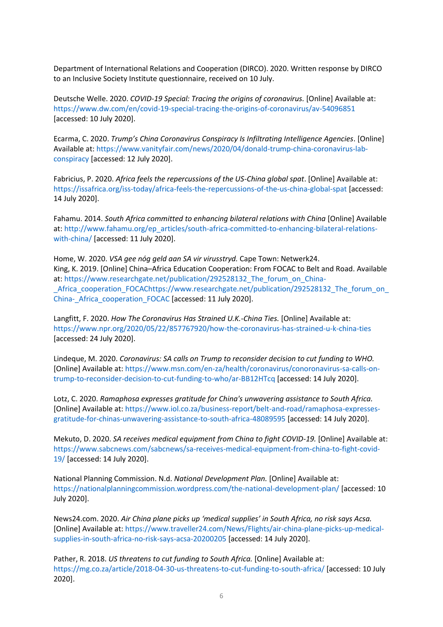Department of International Relations and Cooperation (DIRCO). 2020. Written response by DIRCO to an Inclusive Society Institute questionnaire, received on 10 July.

Deutsche Welle. 2020. *COVID-19 Special: Tracing the origins of coronavirus.* [Online] Available at: <https://www.dw.com/en/covid-19-special-tracing-the-origins-of-coronavirus/av-54096851> [accessed: 10 July 2020].

Ecarma, C. 2020. *Trump's China Coronavirus Conspiracy Is Infiltrating Intelligence Agencies*. [Online] Available at[: https://www.vanityfair.com/news/2020/04/donald-trump-china-coronavirus-lab](https://www.vanityfair.com/news/2020/04/donald-trump-china-coronavirus-lab-conspiracy)[conspiracy](https://www.vanityfair.com/news/2020/04/donald-trump-china-coronavirus-lab-conspiracy) [accessed: 12 July 2020].

Fabricius, P. 2020. *Africa feels the repercussions of the US-China global spat*. [Online] Available at: <https://issafrica.org/iss-today/africa-feels-the-repercussions-of-the-us-china-global-spat> [accessed: 14 July 2020].

Fahamu. 2014. *South Africa committed to enhancing bilateral relations with China* [Online] Available at: [http://www.fahamu.org/ep\\_articles/south-africa-committed-to-enhancing-bilateral-relations](http://www.fahamu.org/ep_articles/south-africa-committed-to-enhancing-bilateral-relations-with-china/)[with-china/](http://www.fahamu.org/ep_articles/south-africa-committed-to-enhancing-bilateral-relations-with-china/) [accessed: 11 July 2020].

Home, W. 2020. *VSA gee nόg geld aan SA vir virusstryd.* Cape Town: Netwerk24. King, K. 2019. [Online] China–Africa Education Cooperation: From FOCAC to Belt and Road. Available at: [https://www.researchgate.net/publication/292528132\\_The\\_forum\\_on\\_China-](https://www.researchgate.net/publication/292528132_The_forum_on_China-_Africa_cooperation_FOCAC) [\\_Africa\\_cooperation\\_FOCAChttps://www.researchgate.net/publication/292528132\\_The\\_forum\\_on\\_](https://www.researchgate.net/publication/292528132_The_forum_on_China-_Africa_cooperation_FOCAC) China- Africa cooperation FOCAC [accessed: 11 July 2020].

Langfitt, F. 2020. *How The Coronavirus Has Strained U.K.-China Ties.* [Online] Available at: <https://www.npr.org/2020/05/22/857767920/how-the-coronavirus-has-strained-u-k-china-ties> [accessed: 24 July 2020].

Lindeque, M. 2020. *Coronavirus: SA calls on Trump to reconsider decision to cut funding to WHO.* [Online] Available at: [https://www.msn.com/en-za/health/coronavirus/conoronavirus-sa-calls-on](https://www.msn.com/en-za/health/coronavirus/conoronavirus-sa-calls-on-trump-to-reconsider-decision-to-cut-funding-to-who/ar-BB12HTcq)[trump-to-reconsider-decision-to-cut-funding-to-who/ar-BB12HTcq](https://www.msn.com/en-za/health/coronavirus/conoronavirus-sa-calls-on-trump-to-reconsider-decision-to-cut-funding-to-who/ar-BB12HTcq) [accessed: 14 July 2020].

Lotz, C. 2020. *Ramaphosa expresses gratitude for China's unwavering assistance to South Africa.* [Online] Available at: [https://www.iol.co.za/business-report/belt-and-road/ramaphosa-expresses](https://www.iol.co.za/business-report/belt-and-road/ramaphosa-expresses-gratitude-for-chinas-unwavering-assistance-to-south-africa-48089595)[gratitude-for-chinas-unwavering-assistance-to-south-africa-48089595](https://www.iol.co.za/business-report/belt-and-road/ramaphosa-expresses-gratitude-for-chinas-unwavering-assistance-to-south-africa-48089595) [accessed: 14 July 2020].

Mekuto, D. 2020. *SA receives medical equipment from China to fight COVID-19.* [Online] Available at: [https://www.sabcnews.com/sabcnews/sa-receives-medical-equipment-from-china-to-fight-covid-](https://www.sabcnews.com/sabcnews/sa-receives-medical-equipment-from-china-to-fight-covid-19/)[19/](https://www.sabcnews.com/sabcnews/sa-receives-medical-equipment-from-china-to-fight-covid-19/) [accessed: 14 July 2020].

National Planning Commission. N.d. *National Development Plan.* [Online] Available at: <https://nationalplanningcommission.wordpress.com/the-national-development-plan/> [accessed: 10 July 2020].

News24.com. 2020. *Air China plane picks up 'medical supplies' in South Africa, no risk says Acsa.* [Online] Available at: [https://www.traveller24.com/News/Flights/air-china-plane-picks-up-medical](https://www.traveller24.com/News/Flights/air-china-plane-picks-up-medical-supplies-in-south-africa-no-risk-says-acsa-20200205)[supplies-in-south-africa-no-risk-says-acsa-20200205](https://www.traveller24.com/News/Flights/air-china-plane-picks-up-medical-supplies-in-south-africa-no-risk-says-acsa-20200205) [accessed: 14 July 2020].

Pather, R. 2018. *US threatens to cut funding to South Africa.* [Online] Available at: <https://mg.co.za/article/2018-04-30-us-threatens-to-cut-funding-to-south-africa/> [accessed: 10 July 2020].